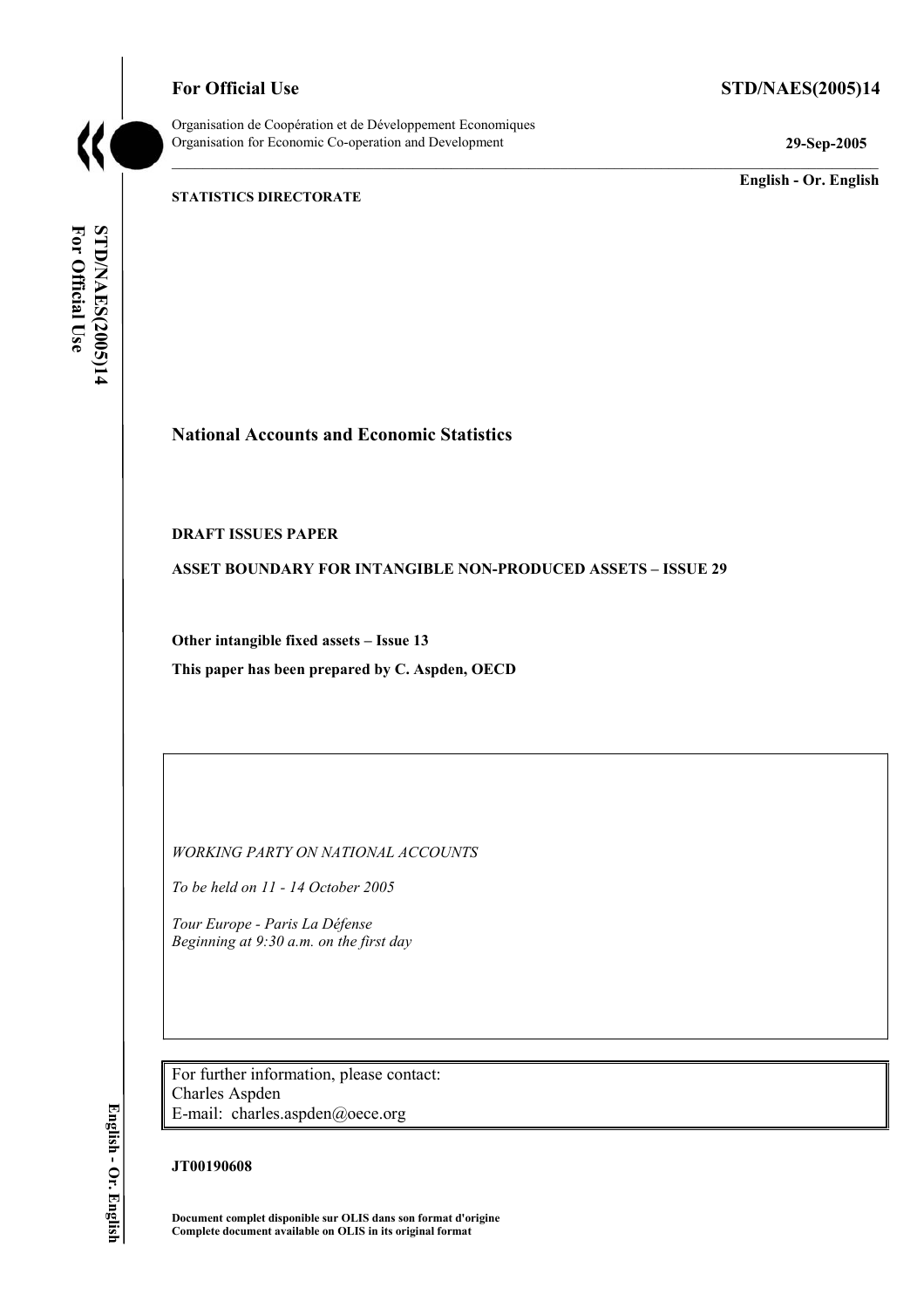**For Official Use STD/NAES(2005)14** 



Organisation de Coopération et de Développement Economiques Organisation for Economic Co-operation and Development **29-Sep-2005** 

**English - Or. English** 

**STATISTICS DIRECTORATE** 

For Official Use **STD/NAES(2005)14 For Official Use STD/NAES(2005)14 English - Or. English** 

# **National Accounts and Economic Statistics**

#### **DRAFT ISSUES PAPER**

**ASSET BOUNDARY FOR INTANGIBLE NON-PRODUCED ASSETS – ISSUE 29** 

**Other intangible fixed assets – Issue 13 This paper has been prepared by C. Aspden, OECD** 

*WORKING PARTY ON NATIONAL ACCOUNTS* 

*To be held on 11 - 14 October 2005* 

*Tour Europe - Paris La Défense Beginning at 9:30 a.m. on the first day* 

For further information, please contact: Charles Aspden E-mail: charles.aspden@oece.org

#### **JT00190608**

**Document complet disponible sur OLIS dans son format d'origine Complete document available on OLIS in its original format** 

English - Or. English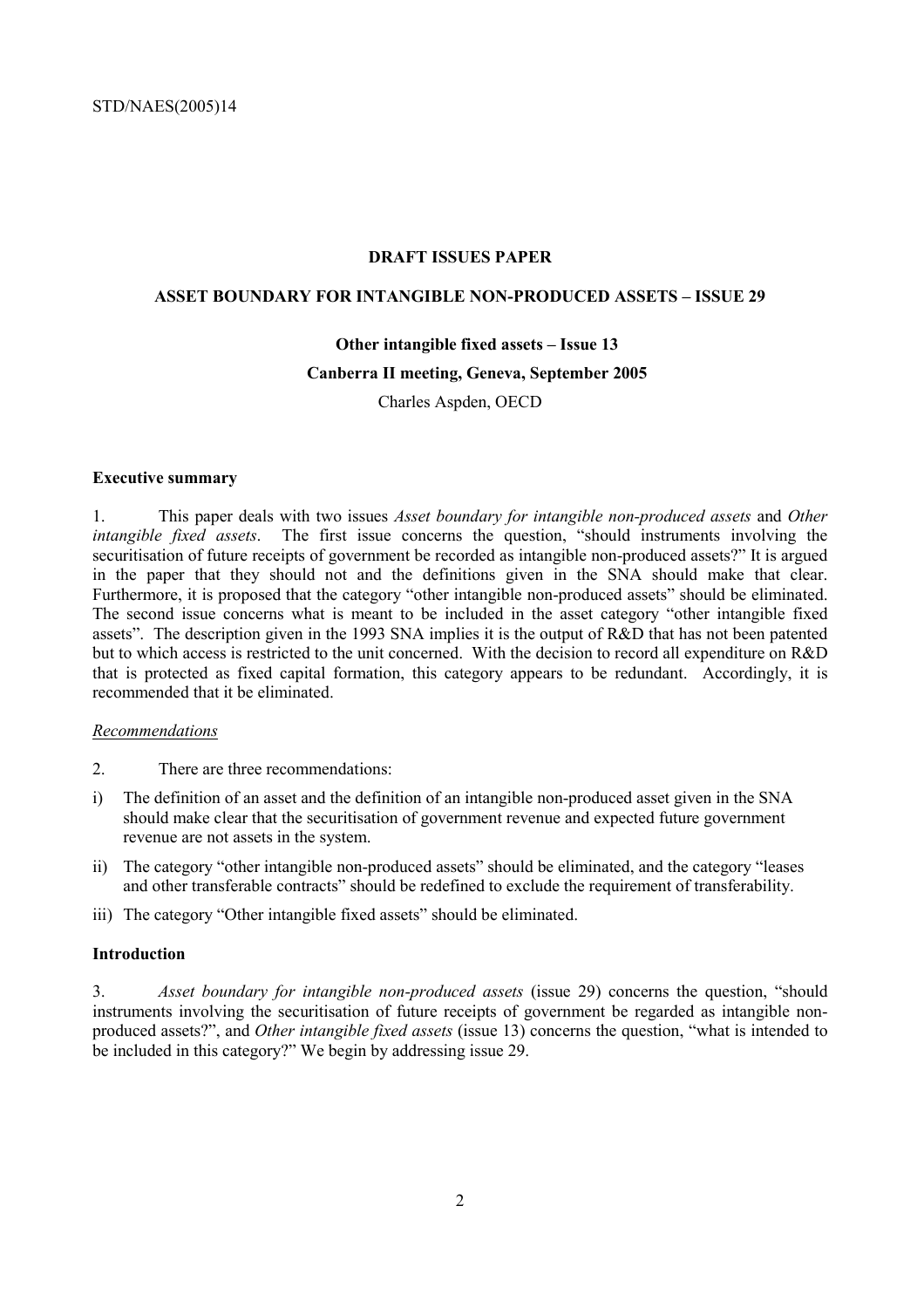#### **DRAFT ISSUES PAPER**

## **ASSET BOUNDARY FOR INTANGIBLE NON-PRODUCED ASSETS – ISSUE 29**

#### **Other intangible fixed assets – Issue 13**

#### **Canberra II meeting, Geneva, September 2005**

Charles Aspden, OECD

#### **Executive summary**

1. This paper deals with two issues *Asset boundary for intangible non-produced assets* and *Other intangible fixed assets*. The first issue concerns the question, "should instruments involving the securitisation of future receipts of government be recorded as intangible non-produced assets?" It is argued in the paper that they should not and the definitions given in the SNA should make that clear. Furthermore, it is proposed that the category "other intangible non-produced assets" should be eliminated. The second issue concerns what is meant to be included in the asset category "other intangible fixed assets". The description given in the 1993 SNA implies it is the output of R&D that has not been patented but to which access is restricted to the unit concerned. With the decision to record all expenditure on R&D that is protected as fixed capital formation, this category appears to be redundant. Accordingly, it is recommended that it be eliminated.

#### *Recommendations*

- 2. There are three recommendations:
- i) The definition of an asset and the definition of an intangible non-produced asset given in the SNA should make clear that the securitisation of government revenue and expected future government revenue are not assets in the system.
- ii) The category "other intangible non-produced assets" should be eliminated, and the category "leases and other transferable contracts" should be redefined to exclude the requirement of transferability.
- iii) The category "Other intangible fixed assets" should be eliminated.

#### **Introduction**

3. *Asset boundary for intangible non-produced assets* (issue 29) concerns the question, "should instruments involving the securitisation of future receipts of government be regarded as intangible nonproduced assets?", and *Other intangible fixed assets* (issue 13) concerns the question, "what is intended to be included in this category?" We begin by addressing issue 29.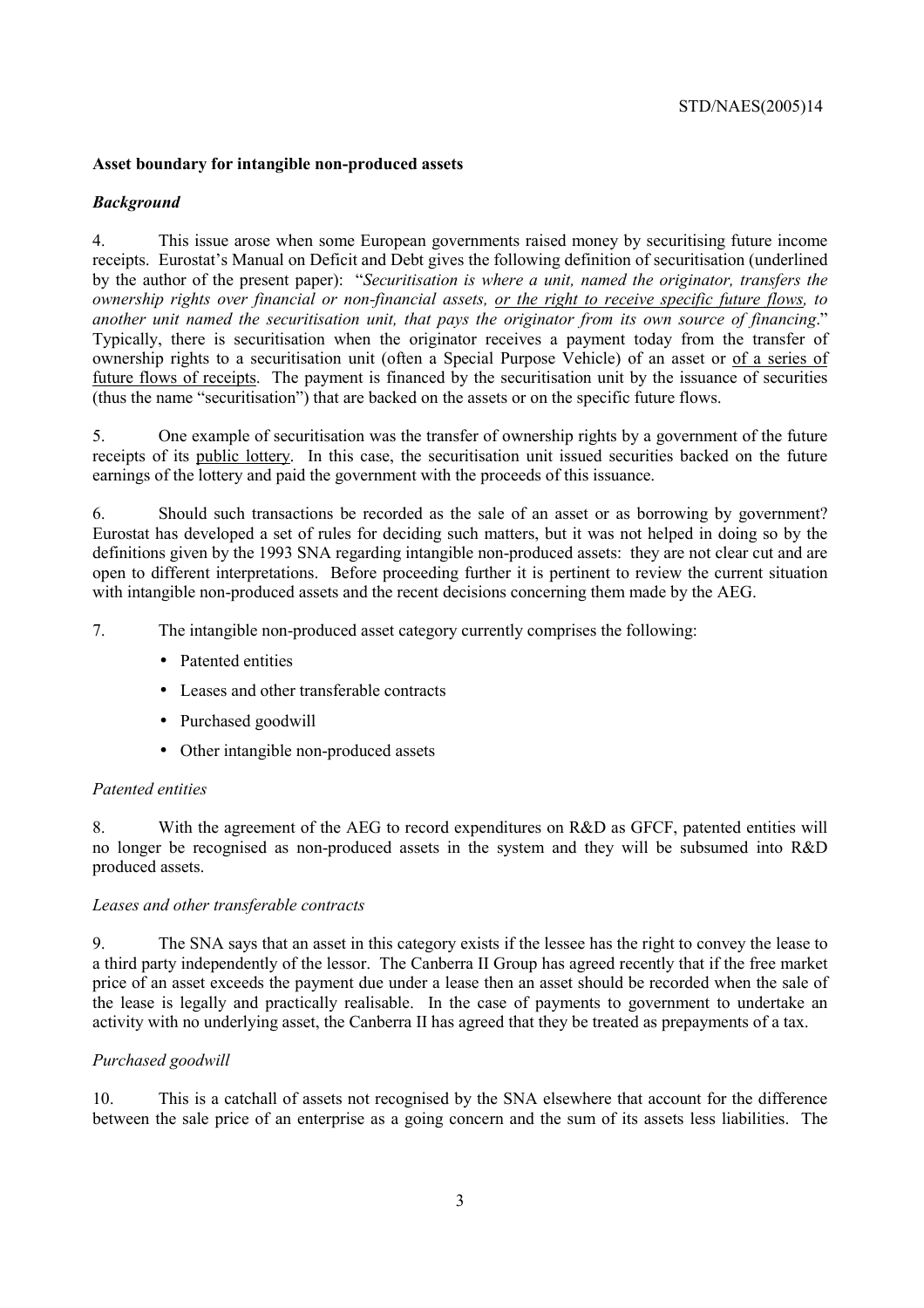## **Asset boundary for intangible non-produced assets**

## *Background*

4. This issue arose when some European governments raised money by securitising future income receipts. Eurostat's Manual on Deficit and Debt gives the following definition of securitisation (underlined by the author of the present paper): "*Securitisation is where a unit, named the originator, transfers the ownership rights over financial or non-financial assets, or the right to receive specific future flows, to another unit named the securitisation unit, that pays the originator from its own source of financing*." Typically, there is securitisation when the originator receives a payment today from the transfer of ownership rights to a securitisation unit (often a Special Purpose Vehicle) of an asset or of a series of future flows of receipts. The payment is financed by the securitisation unit by the issuance of securities (thus the name "securitisation") that are backed on the assets or on the specific future flows.

5. One example of securitisation was the transfer of ownership rights by a government of the future receipts of its public lottery. In this case, the securitisation unit issued securities backed on the future earnings of the lottery and paid the government with the proceeds of this issuance.

6. Should such transactions be recorded as the sale of an asset or as borrowing by government? Eurostat has developed a set of rules for deciding such matters, but it was not helped in doing so by the definitions given by the 1993 SNA regarding intangible non-produced assets: they are not clear cut and are open to different interpretations. Before proceeding further it is pertinent to review the current situation with intangible non-produced assets and the recent decisions concerning them made by the AEG.

7. The intangible non-produced asset category currently comprises the following:

- Patented entities
- Leases and other transferable contracts
- Purchased goodwill
- Other intangible non-produced assets

## *Patented entities*

8. With the agreement of the AEG to record expenditures on R&D as GFCF, patented entities will no longer be recognised as non-produced assets in the system and they will be subsumed into R&D produced assets.

## *Leases and other transferable contracts*

9. The SNA says that an asset in this category exists if the lessee has the right to convey the lease to a third party independently of the lessor. The Canberra II Group has agreed recently that if the free market price of an asset exceeds the payment due under a lease then an asset should be recorded when the sale of the lease is legally and practically realisable. In the case of payments to government to undertake an activity with no underlying asset, the Canberra II has agreed that they be treated as prepayments of a tax.

## *Purchased goodwill*

10. This is a catchall of assets not recognised by the SNA elsewhere that account for the difference between the sale price of an enterprise as a going concern and the sum of its assets less liabilities. The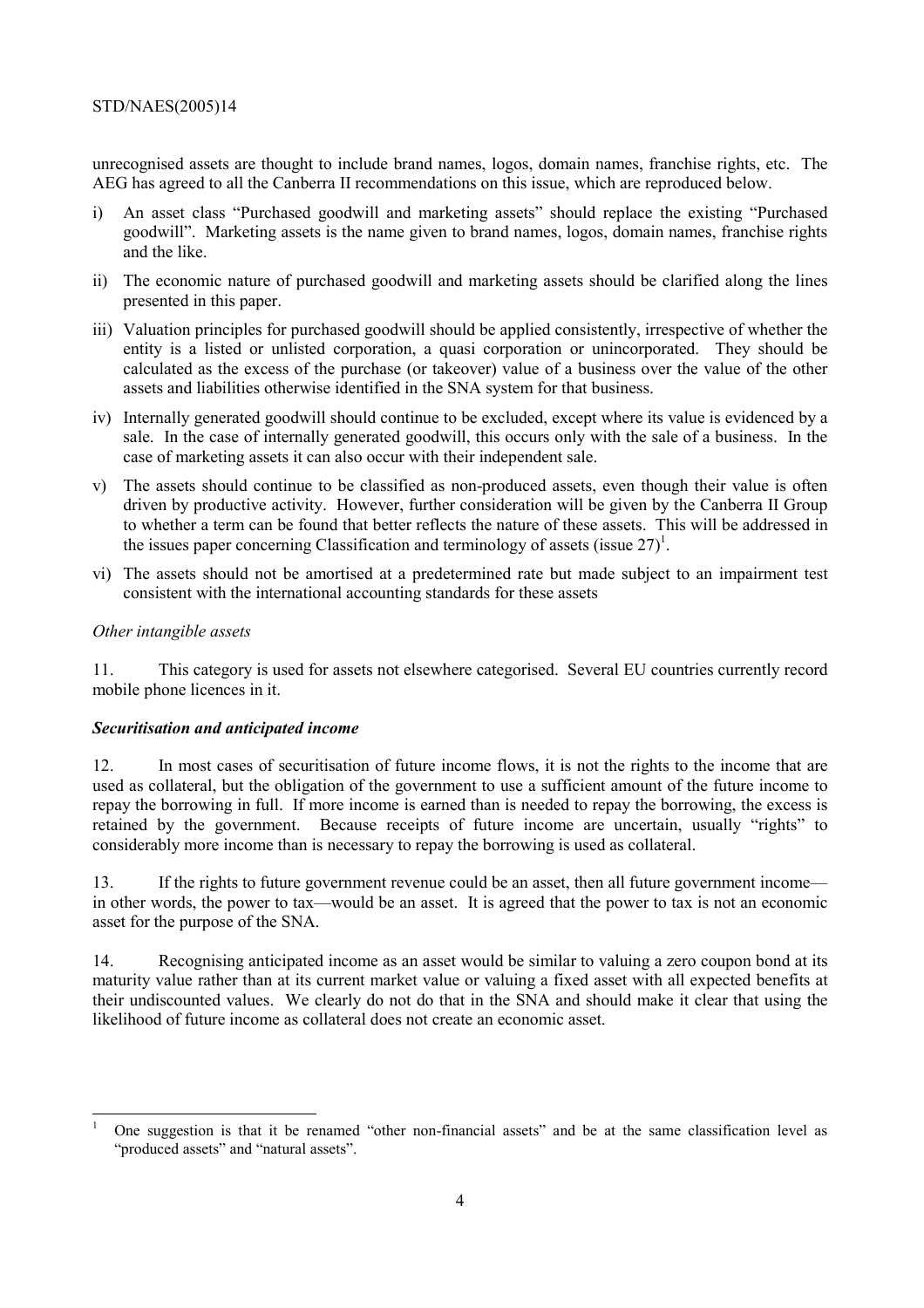## STD/NAES(2005)14

unrecognised assets are thought to include brand names, logos, domain names, franchise rights, etc. The AEG has agreed to all the Canberra II recommendations on this issue, which are reproduced below.

- i) An asset class "Purchased goodwill and marketing assets" should replace the existing "Purchased goodwill". Marketing assets is the name given to brand names, logos, domain names, franchise rights and the like.
- ii) The economic nature of purchased goodwill and marketing assets should be clarified along the lines presented in this paper.
- iii) Valuation principles for purchased goodwill should be applied consistently, irrespective of whether the entity is a listed or unlisted corporation, a quasi corporation or unincorporated. They should be calculated as the excess of the purchase (or takeover) value of a business over the value of the other assets and liabilities otherwise identified in the SNA system for that business.
- iv) Internally generated goodwill should continue to be excluded, except where its value is evidenced by a sale. In the case of internally generated goodwill, this occurs only with the sale of a business. In the case of marketing assets it can also occur with their independent sale.
- v) The assets should continue to be classified as non-produced assets, even though their value is often driven by productive activity. However, further consideration will be given by the Canberra II Group to whether a term can be found that better reflects the nature of these assets. This will be addressed in the issues paper concerning Classification and terminology of assets (issue  $27$ )<sup>1</sup>.
- vi) The assets should not be amortised at a predetermined rate but made subject to an impairment test consistent with the international accounting standards for these assets

## *Other intangible assets*

11. This category is used for assets not elsewhere categorised. Several EU countries currently record mobile phone licences in it.

## *Securitisation and anticipated income*

12. In most cases of securitisation of future income flows, it is not the rights to the income that are used as collateral, but the obligation of the government to use a sufficient amount of the future income to repay the borrowing in full. If more income is earned than is needed to repay the borrowing, the excess is retained by the government. Because receipts of future income are uncertain, usually "rights" to considerably more income than is necessary to repay the borrowing is used as collateral.

13. If the rights to future government revenue could be an asset, then all future government income in other words, the power to tax—would be an asset. It is agreed that the power to tax is not an economic asset for the purpose of the SNA.

14. Recognising anticipated income as an asset would be similar to valuing a zero coupon bond at its maturity value rather than at its current market value or valuing a fixed asset with all expected benefits at their undiscounted values. We clearly do not do that in the SNA and should make it clear that using the likelihood of future income as collateral does not create an economic asset.

 $\overline{a}$ 1 One suggestion is that it be renamed "other non-financial assets" and be at the same classification level as "produced assets" and "natural assets".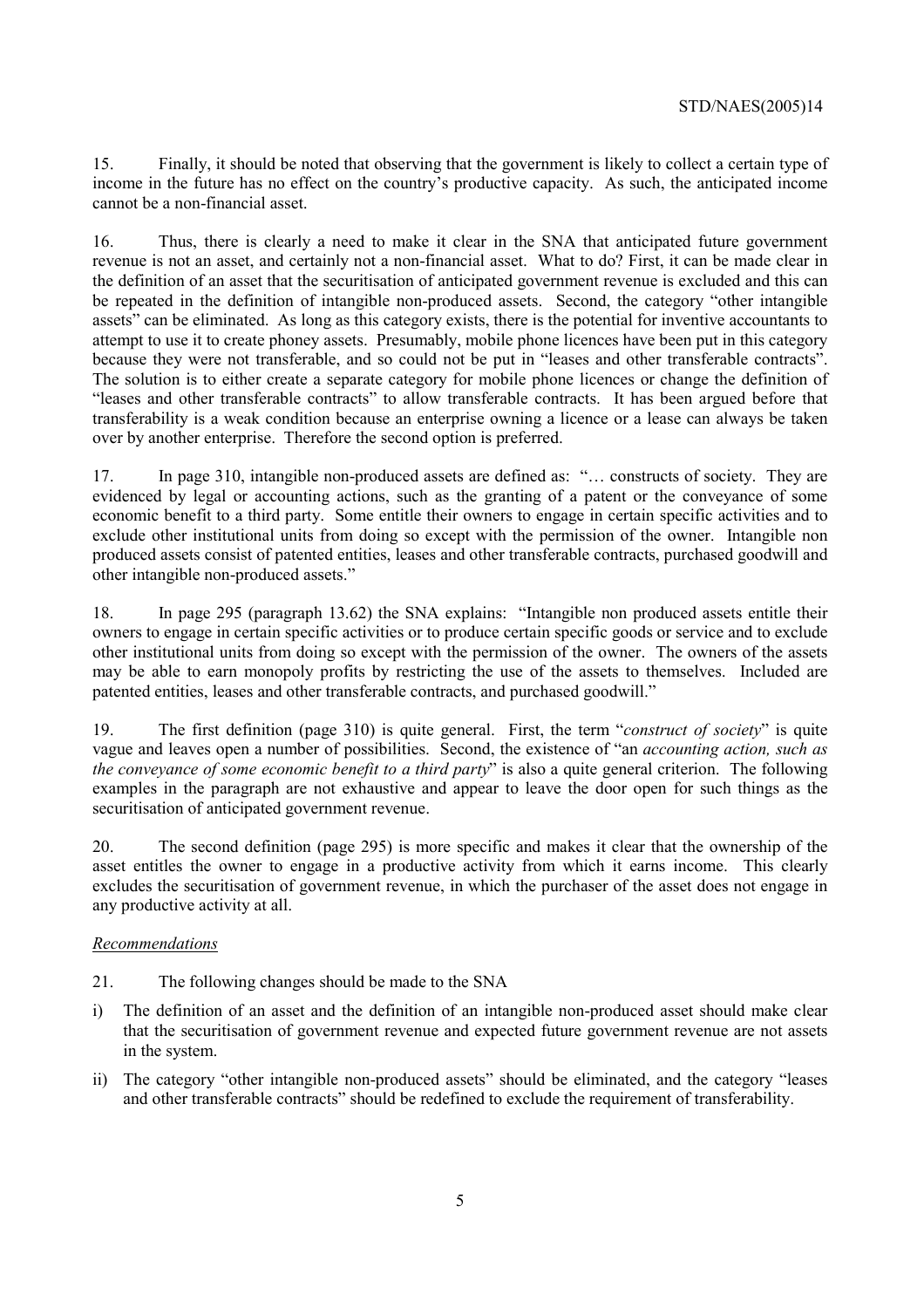15. Finally, it should be noted that observing that the government is likely to collect a certain type of income in the future has no effect on the country's productive capacity. As such, the anticipated income cannot be a non-financial asset.

16. Thus, there is clearly a need to make it clear in the SNA that anticipated future government revenue is not an asset, and certainly not a non-financial asset. What to do? First, it can be made clear in the definition of an asset that the securitisation of anticipated government revenue is excluded and this can be repeated in the definition of intangible non-produced assets. Second, the category "other intangible assets" can be eliminated. As long as this category exists, there is the potential for inventive accountants to attempt to use it to create phoney assets. Presumably, mobile phone licences have been put in this category because they were not transferable, and so could not be put in "leases and other transferable contracts". The solution is to either create a separate category for mobile phone licences or change the definition of "leases and other transferable contracts" to allow transferable contracts. It has been argued before that transferability is a weak condition because an enterprise owning a licence or a lease can always be taken over by another enterprise. Therefore the second option is preferred.

17. In page 310, intangible non-produced assets are defined as: "… constructs of society. They are evidenced by legal or accounting actions, such as the granting of a patent or the conveyance of some economic benefit to a third party. Some entitle their owners to engage in certain specific activities and to exclude other institutional units from doing so except with the permission of the owner. Intangible non produced assets consist of patented entities, leases and other transferable contracts, purchased goodwill and other intangible non-produced assets."

18. In page 295 (paragraph 13.62) the SNA explains: "Intangible non produced assets entitle their owners to engage in certain specific activities or to produce certain specific goods or service and to exclude other institutional units from doing so except with the permission of the owner. The owners of the assets may be able to earn monopoly profits by restricting the use of the assets to themselves. Included are patented entities, leases and other transferable contracts, and purchased goodwill."

19. The first definition (page 310) is quite general. First, the term "*construct of society*" is quite vague and leaves open a number of possibilities. Second, the existence of "an *accounting action, such as the conveyance of some economic benefit to a third party*" is also a quite general criterion. The following examples in the paragraph are not exhaustive and appear to leave the door open for such things as the securitisation of anticipated government revenue.

20. The second definition (page 295) is more specific and makes it clear that the ownership of the asset entitles the owner to engage in a productive activity from which it earns income. This clearly excludes the securitisation of government revenue, in which the purchaser of the asset does not engage in any productive activity at all.

## *Recommendations*

- 21. The following changes should be made to the SNA
- i) The definition of an asset and the definition of an intangible non-produced asset should make clear that the securitisation of government revenue and expected future government revenue are not assets in the system.
- ii) The category "other intangible non-produced assets" should be eliminated, and the category "leases and other transferable contracts" should be redefined to exclude the requirement of transferability.